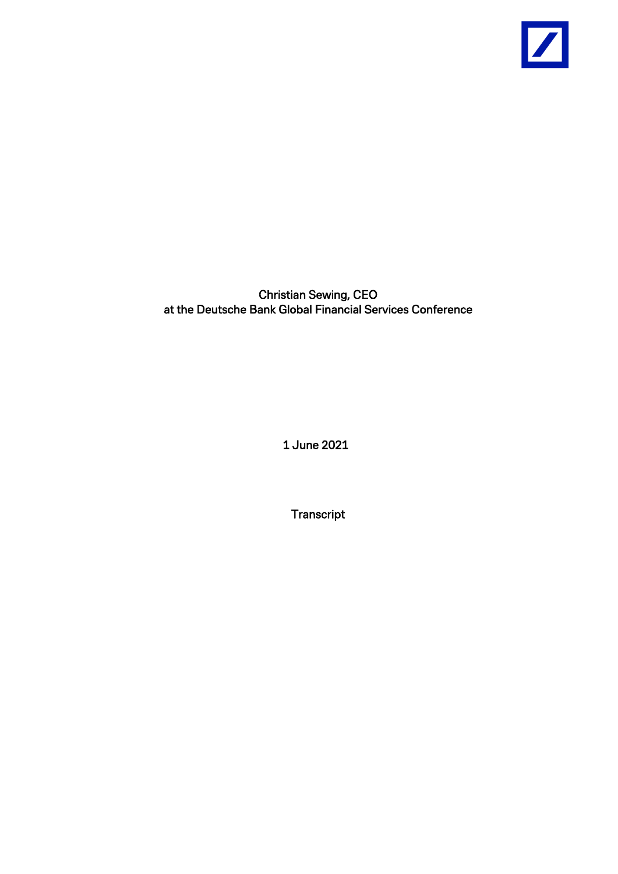

Christian Sewing, CEO at the Deutsche Bank Global Financial Services Conference

1 June 2021

**Transcript**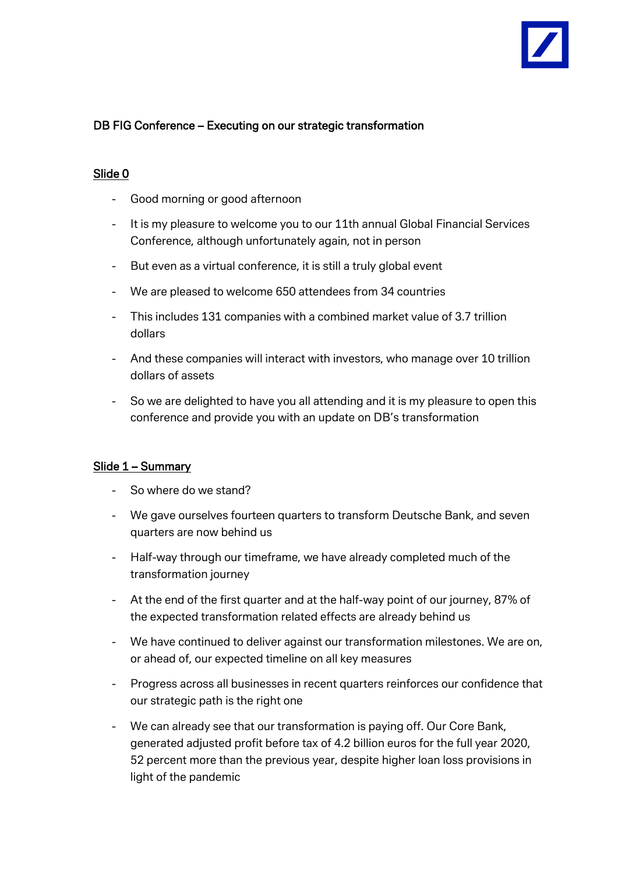

# DB FIG Conference – Executing on our strategic transformation

## Slide 0

- Good morning or good afternoon
- It is my pleasure to welcome you to our 11th annual Global Financial Services Conference, although unfortunately again, not in person
- But even as a virtual conference, it is still a truly global event
- We are pleased to welcome 650 attendees from 34 countries
- This includes 131 companies with a combined market value of 3.7 trillion dollars
- And these companies will interact with investors, who manage over 10 trillion dollars of assets
- So we are delighted to have you all attending and it is my pleasure to open this conference and provide you with an update on DB's transformation

### Slide 1 – Summary

- So where do we stand?
- We gave ourselves fourteen quarters to transform Deutsche Bank, and seven quarters are now behind us
- Half-way through our timeframe, we have already completed much of the transformation journey
- At the end of the first quarter and at the half-way point of our journey, 87% of the expected transformation related effects are already behind us
- We have continued to deliver against our transformation milestones. We are on, or ahead of, our expected timeline on all key measures
- Progress across all businesses in recent quarters reinforces our confidence that our strategic path is the right one
- We can already see that our transformation is paying off. Our Core Bank, generated adjusted profit before tax of 4.2 billion euros for the full year 2020, 52 percent more than the previous year, despite higher loan loss provisions in light of the pandemic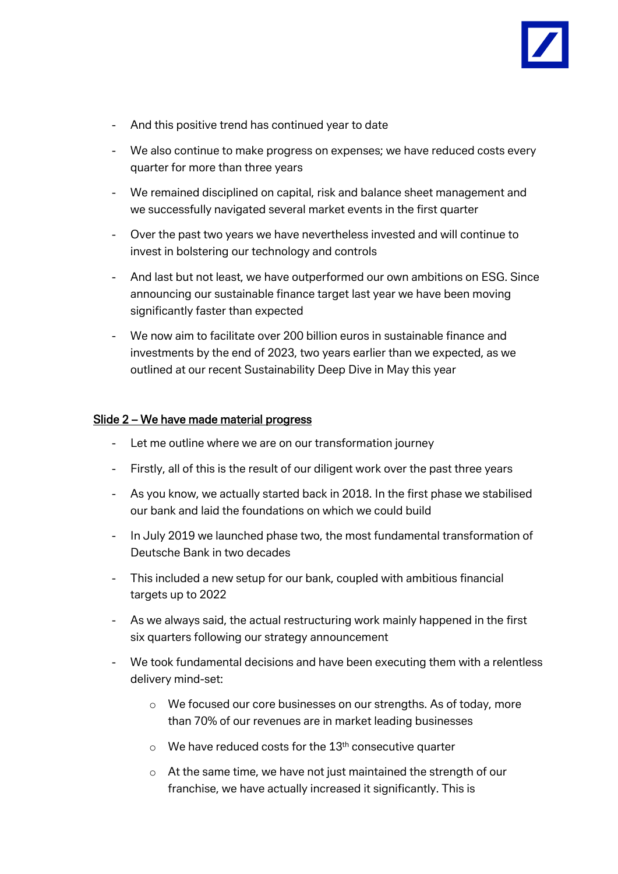

- And this positive trend has continued year to date
- We also continue to make progress on expenses; we have reduced costs every quarter for more than three years
- We remained disciplined on capital, risk and balance sheet management and we successfully navigated several market events in the first quarter
- Over the past two years we have nevertheless invested and will continue to invest in bolstering our technology and controls
- And last but not least, we have outperformed our own ambitions on ESG. Since announcing our sustainable finance target last year we have been moving significantly faster than expected
- We now aim to facilitate over 200 billion euros in sustainable finance and investments by the end of 2023, two years earlier than we expected, as we outlined at our recent Sustainability Deep Dive in May this year

### Slide 2 – We have made material progress

- Let me outline where we are on our transformation journey
- Firstly, all of this is the result of our diligent work over the past three years
- As you know, we actually started back in 2018. In the first phase we stabilised our bank and laid the foundations on which we could build
- In July 2019 we launched phase two, the most fundamental transformation of Deutsche Bank in two decades
- This included a new setup for our bank, coupled with ambitious financial targets up to 2022
- As we always said, the actual restructuring work mainly happened in the first six quarters following our strategy announcement
- We took fundamental decisions and have been executing them with a relentless delivery mind-set:
	- o We focused our core businesses on our strengths. As of today, more than 70% of our revenues are in market leading businesses
	- $\circ$  We have reduced costs for the 13<sup>th</sup> consecutive quarter
	- o At the same time, we have not just maintained the strength of our franchise, we have actually increased it significantly. This is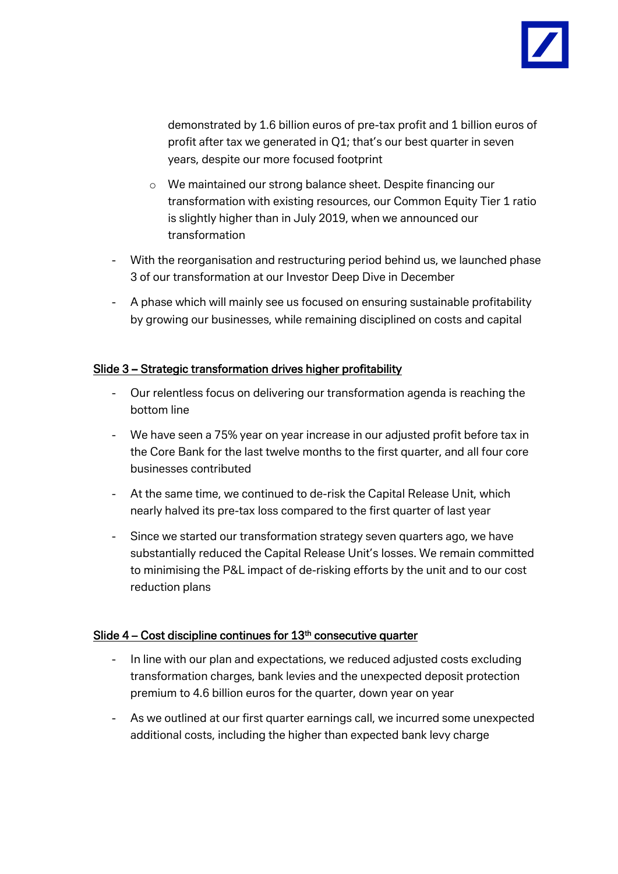

demonstrated by 1.6 billion euros of pre-tax profit and 1 billion euros of profit after tax we generated in Q1; that's our best quarter in seven years, despite our more focused footprint

- o We maintained our strong balance sheet. Despite financing our transformation with existing resources, our Common Equity Tier 1 ratio is slightly higher than in July 2019, when we announced our transformation
- With the reorganisation and restructuring period behind us, we launched phase 3 of our transformation at our Investor Deep Dive in December
- A phase which will mainly see us focused on ensuring sustainable profitability by growing our businesses, while remaining disciplined on costs and capital

## Slide 3 – Strategic transformation drives higher profitability

- Our relentless focus on delivering our transformation agenda is reaching the bottom line
- We have seen a 75% year on year increase in our adjusted profit before tax in the Core Bank for the last twelve months to the first quarter, and all four core businesses contributed
- At the same time, we continued to de-risk the Capital Release Unit, which nearly halved its pre-tax loss compared to the first quarter of last year
- Since we started our transformation strategy seven quarters ago, we have substantially reduced the Capital Release Unit's losses. We remain committed to minimising the P&L impact of de-risking efforts by the unit and to our cost reduction plans

### Slide  $4$  – Cost discipline continues for  $13<sup>th</sup>$  consecutive quarter

- In line with our plan and expectations, we reduced adjusted costs excluding transformation charges, bank levies and the unexpected deposit protection premium to 4.6 billion euros for the quarter, down year on year
- As we outlined at our first quarter earnings call, we incurred some unexpected additional costs, including the higher than expected bank levy charge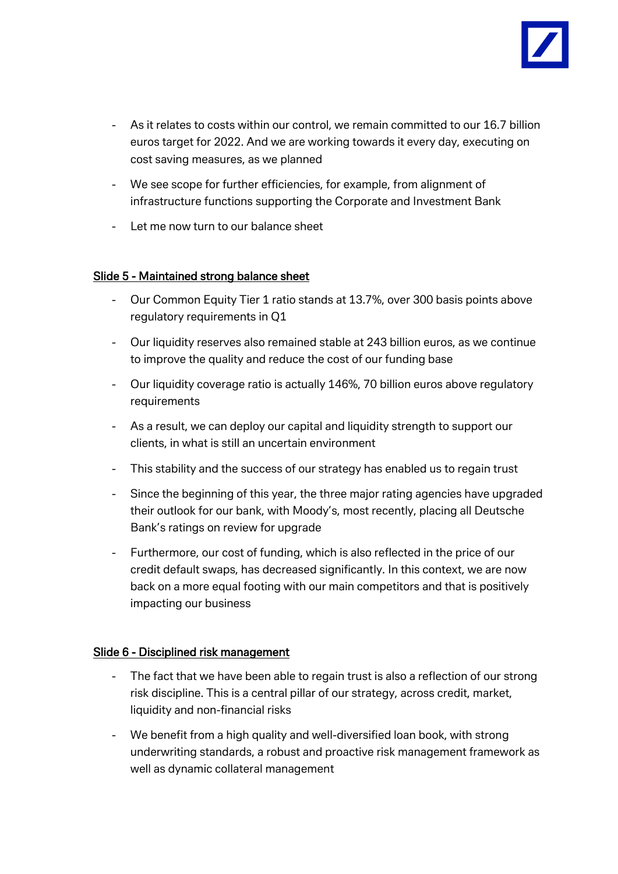

- As it relates to costs within our control, we remain committed to our 16.7 billion euros target for 2022. And we are working towards it every day, executing on cost saving measures, as we planned
- We see scope for further efficiencies, for example, from alignment of infrastructure functions supporting the Corporate and Investment Bank
- Let me now turn to our balance sheet

### Slide 5 - Maintained strong balance sheet

- Our Common Equity Tier 1 ratio stands at 13.7%, over 300 basis points above regulatory requirements in Q1
- Our liquidity reserves also remained stable at 243 billion euros, as we continue to improve the quality and reduce the cost of our funding base
- Our liquidity coverage ratio is actually 146%, 70 billion euros above regulatory requirements
- As a result, we can deploy our capital and liquidity strength to support our clients, in what is still an uncertain environment
- This stability and the success of our strategy has enabled us to regain trust
- Since the beginning of this year, the three major rating agencies have upgraded their outlook for our bank, with Moody's, most recently, placing all Deutsche Bank's ratings on review for upgrade
- Furthermore, our cost of funding, which is also reflected in the price of our credit default swaps, has decreased significantly. In this context, we are now back on a more equal footing with our main competitors and that is positively impacting our business

### Slide 6 - Disciplined risk management

- The fact that we have been able to regain trust is also a reflection of our strong risk discipline. This is a central pillar of our strategy, across credit, market, liquidity and non-financial risks
- We benefit from a high quality and well-diversified loan book, with strong underwriting standards, a robust and proactive risk management framework as well as dynamic collateral management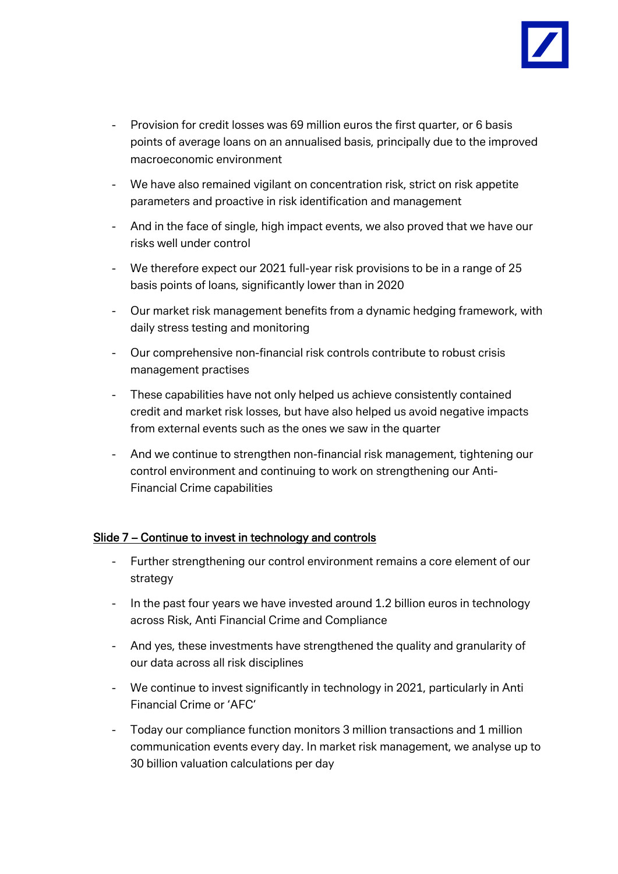

- Provision for credit losses was 69 million euros the first quarter, or 6 basis points of average loans on an annualised basis, principally due to the improved macroeconomic environment
- We have also remained vigilant on concentration risk, strict on risk appetite parameters and proactive in risk identification and management
- And in the face of single, high impact events, we also proved that we have our risks well under control
- We therefore expect our 2021 full-year risk provisions to be in a range of 25 basis points of loans, significantly lower than in 2020
- Our market risk management benefits from a dynamic hedging framework, with daily stress testing and monitoring
- Our comprehensive non-financial risk controls contribute to robust crisis management practises
- These capabilities have not only helped us achieve consistently contained credit and market risk losses, but have also helped us avoid negative impacts from external events such as the ones we saw in the quarter
- And we continue to strengthen non-financial risk management, tightening our control environment and continuing to work on strengthening our Anti-Financial Crime capabilities

# Slide 7 – Continue to invest in technology and controls

- Further strengthening our control environment remains a core element of our strategy
- In the past four years we have invested around 1.2 billion euros in technology across Risk, Anti Financial Crime and Compliance
- And yes, these investments have strengthened the quality and granularity of our data across all risk disciplines
- We continue to invest significantly in technology in 2021, particularly in Anti Financial Crime or 'AFC'
- Today our compliance function monitors 3 million transactions and 1 million communication events every day. In market risk management, we analyse up to 30 billion valuation calculations per day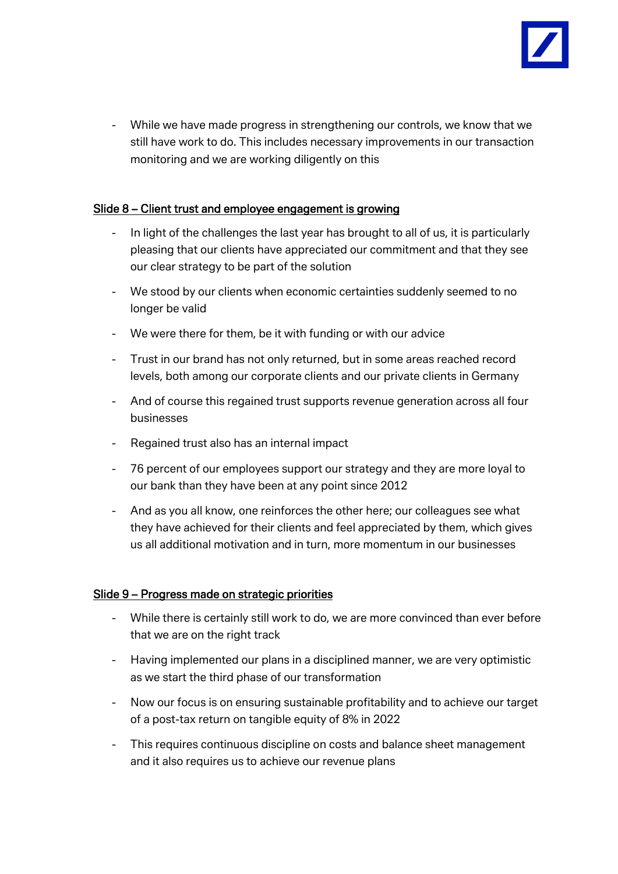

- While we have made progress in strengthening our controls, we know that we still have work to do. This includes necessary improvements in our transaction monitoring and we are working diligently on this

## Slide 8 – Client trust and employee engagement is growing

- In light of the challenges the last year has brought to all of us, it is particularly pleasing that our clients have appreciated our commitment and that they see our clear strategy to be part of the solution
- We stood by our clients when economic certainties suddenly seemed to no longer be valid
- We were there for them, be it with funding or with our advice
- Trust in our brand has not only returned, but in some areas reached record levels, both among our corporate clients and our private clients in Germany
- And of course this regained trust supports revenue generation across all four businesses
- Regained trust also has an internal impact
- 76 percent of our employees support our strategy and they are more loyal to our bank than they have been at any point since 2012
- And as you all know, one reinforces the other here; our colleagues see what they have achieved for their clients and feel appreciated by them, which gives us all additional motivation and in turn, more momentum in our businesses

# Slide 9 – Progress made on strategic priorities

- While there is certainly still work to do, we are more convinced than ever before that we are on the right track
- Having implemented our plans in a disciplined manner, we are very optimistic as we start the third phase of our transformation
- Now our focus is on ensuring sustainable profitability and to achieve our target of a post-tax return on tangible equity of 8% in 2022
- This requires continuous discipline on costs and balance sheet management and it also requires us to achieve our revenue plans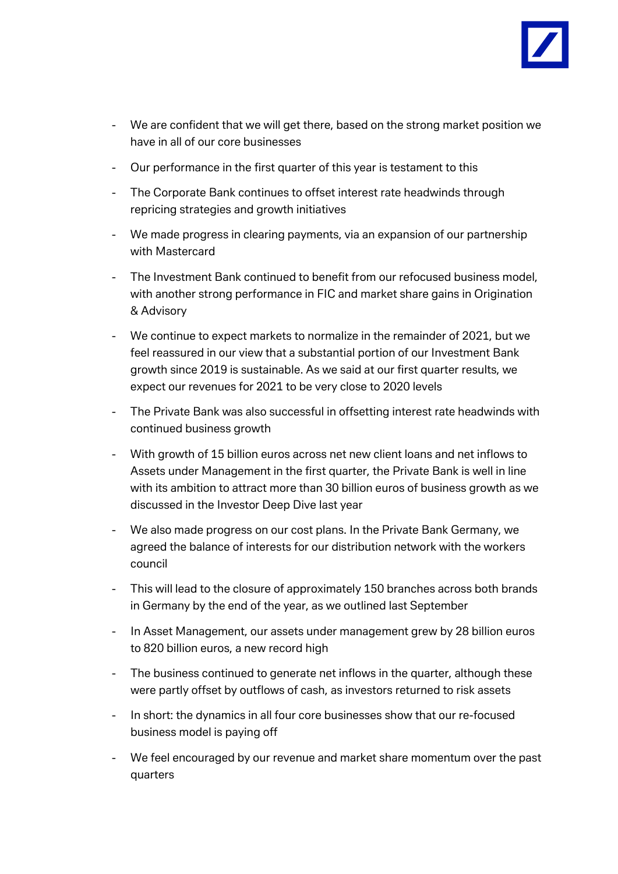

- We are confident that we will get there, based on the strong market position we have in all of our core businesses
- Our performance in the first quarter of this year is testament to this
- The Corporate Bank continues to offset interest rate headwinds through repricing strategies and growth initiatives
- We made progress in clearing payments, via an expansion of our partnership with Mastercard
- The Investment Bank continued to benefit from our refocused business model, with another strong performance in FIC and market share gains in Origination & Advisory
- We continue to expect markets to normalize in the remainder of 2021, but we feel reassured in our view that a substantial portion of our Investment Bank growth since 2019 is sustainable. As we said at our first quarter results, we expect our revenues for 2021 to be very close to 2020 levels
- The Private Bank was also successful in offsetting interest rate headwinds with continued business growth
- With growth of 15 billion euros across net new client loans and net inflows to Assets under Management in the first quarter, the Private Bank is well in line with its ambition to attract more than 30 billion euros of business growth as we discussed in the Investor Deep Dive last year
- We also made progress on our cost plans. In the Private Bank Germany, we agreed the balance of interests for our distribution network with the workers council
- This will lead to the closure of approximately 150 branches across both brands in Germany by the end of the year, as we outlined last September
- In Asset Management, our assets under management grew by 28 billion euros to 820 billion euros, a new record high
- The business continued to generate net inflows in the quarter, although these were partly offset by outflows of cash, as investors returned to risk assets
- In short: the dynamics in all four core businesses show that our re-focused business model is paying off
- We feel encouraged by our revenue and market share momentum over the past quarters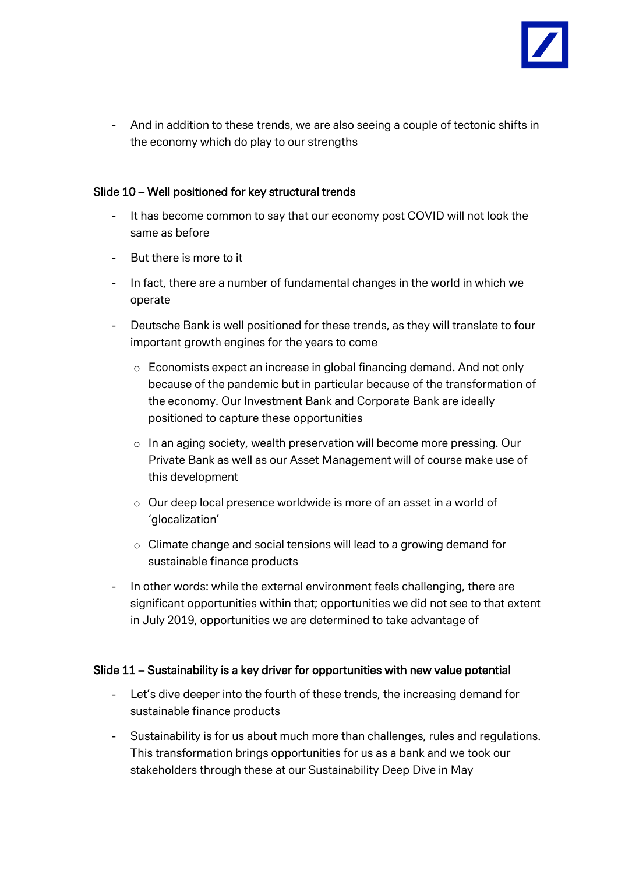

- And in addition to these trends, we are also seeing a couple of tectonic shifts in the economy which do play to our strengths

## Slide 10 – Well positioned for key structural trends

- It has become common to say that our economy post COVID will not look the same as before
- But there is more to it
- In fact, there are a number of fundamental changes in the world in which we operate
- Deutsche Bank is well positioned for these trends, as they will translate to four important growth engines for the years to come
	- $\circ$  Economists expect an increase in global financing demand. And not only because of the pandemic but in particular because of the transformation of the economy. Our Investment Bank and Corporate Bank are ideally positioned to capture these opportunities
	- o In an aging society, wealth preservation will become more pressing. Our Private Bank as well as our Asset Management will of course make use of this development
	- o Our deep local presence worldwide is more of an asset in a world of 'glocalization'
	- o Climate change and social tensions will lead to a growing demand for sustainable finance products
- In other words: while the external environment feels challenging, there are significant opportunities within that; opportunities we did not see to that extent in July 2019, opportunities we are determined to take advantage of

### Slide 11 – Sustainability is a key driver for opportunities with new value potential

- Let's dive deeper into the fourth of these trends, the increasing demand for sustainable finance products
- Sustainability is for us about much more than challenges, rules and regulations. This transformation brings opportunities for us as a bank and we took our stakeholders through these at our Sustainability Deep Dive in May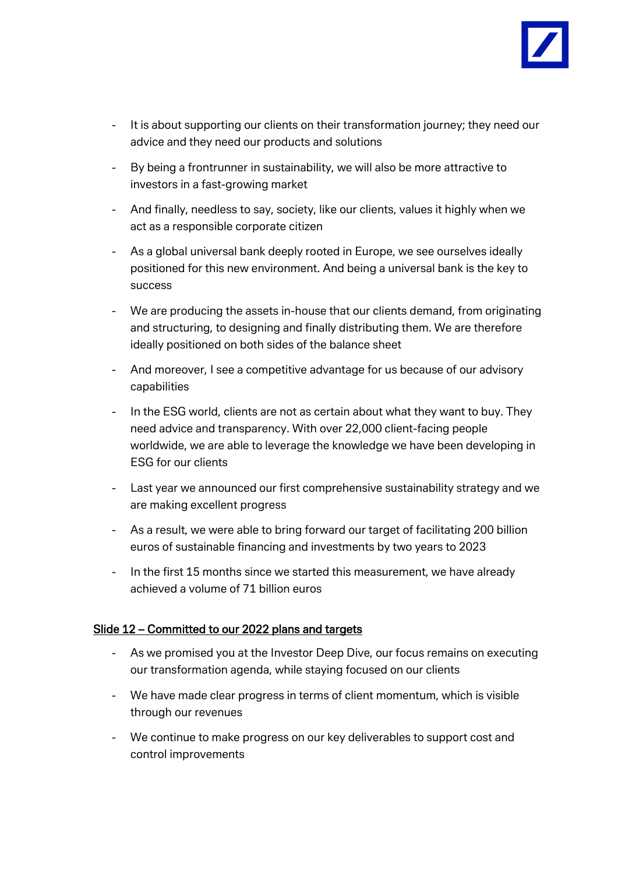

- It is about supporting our clients on their transformation journey; they need our advice and they need our products and solutions
- By being a frontrunner in sustainability, we will also be more attractive to investors in a fast-growing market
- And finally, needless to say, society, like our clients, values it highly when we act as a responsible corporate citizen
- As a global universal bank deeply rooted in Europe, we see ourselves ideally positioned for this new environment. And being a universal bank is the key to success
- We are producing the assets in-house that our clients demand, from originating and structuring, to designing and finally distributing them. We are therefore ideally positioned on both sides of the balance sheet
- And moreover, I see a competitive advantage for us because of our advisory capabilities
- In the ESG world, clients are not as certain about what they want to buy. They need advice and transparency. With over 22,000 client-facing people worldwide, we are able to leverage the knowledge we have been developing in ESG for our clients
- Last year we announced our first comprehensive sustainability strategy and we are making excellent progress
- As a result, we were able to bring forward our target of facilitating 200 billion euros of sustainable financing and investments by two years to 2023
- In the first 15 months since we started this measurement, we have already achieved a volume of 71 billion euros

### Slide 12 – Committed to our 2022 plans and targets

- As we promised you at the Investor Deep Dive, our focus remains on executing our transformation agenda, while staying focused on our clients
- We have made clear progress in terms of client momentum, which is visible through our revenues
- We continue to make progress on our key deliverables to support cost and control improvements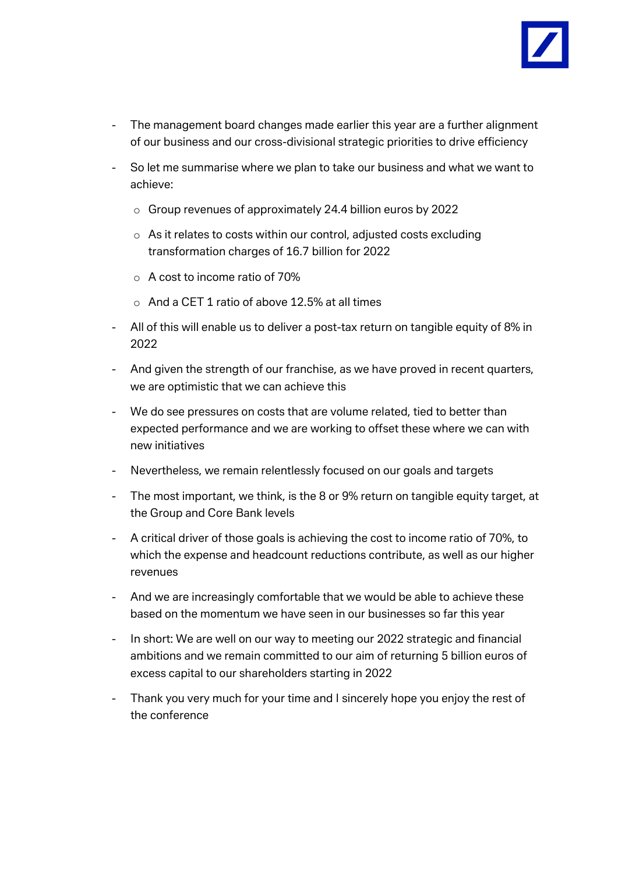

- The management board changes made earlier this year are a further alignment of our business and our cross-divisional strategic priorities to drive efficiency
- So let me summarise where we plan to take our business and what we want to achieve:
	- o Group revenues of approximately 24.4 billion euros by 2022
	- o As it relates to costs within our control, adjusted costs excluding transformation charges of 16.7 billion for 2022
	- o A cost to income ratio of 70%
	- $\circ$  And a CET 1 ratio of above 12.5% at all times
- All of this will enable us to deliver a post-tax return on tangible equity of 8% in 2022
- And given the strength of our franchise, as we have proved in recent quarters, we are optimistic that we can achieve this
- We do see pressures on costs that are volume related, tied to better than expected performance and we are working to offset these where we can with new initiatives
- Nevertheless, we remain relentlessly focused on our goals and targets
- The most important, we think, is the 8 or 9% return on tangible equity target, at the Group and Core Bank levels
- A critical driver of those goals is achieving the cost to income ratio of 70%, to which the expense and headcount reductions contribute, as well as our higher revenues
- And we are increasingly comfortable that we would be able to achieve these based on the momentum we have seen in our businesses so far this year
- In short: We are well on our way to meeting our 2022 strategic and financial ambitions and we remain committed to our aim of returning 5 billion euros of excess capital to our shareholders starting in 2022
- Thank you very much for your time and I sincerely hope you enjoy the rest of the conference